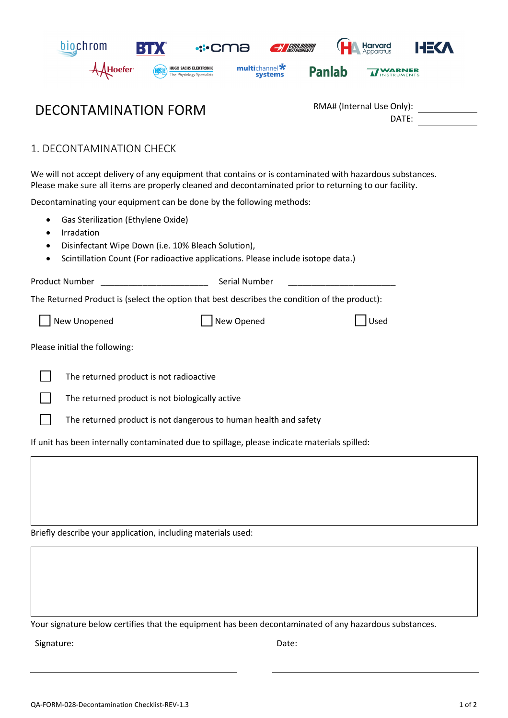

## DECONTAMINATION FORM

| RMA# (Internal Use Only): |  |
|---------------------------|--|
| DATE:                     |  |

1. DECONTAMINATION CHECK

We will not accept delivery of any equipment that contains or is contaminated with hazardous substances. Please make sure all items are properly cleaned and decontaminated prior to returning to our facility.

Decontaminating your equipment can be done by the following methods:

- Gas Sterilization (Ethylene Oxide)
- **•** Irradation
- Disinfectant Wipe Down (i.e. 10% Bleach Solution),
- Scintillation Count (For radioactive applications. Please include isotope data.)

|                                                                                               | <b>Product Number</b><br>Serial Number                           |      |  |  |
|-----------------------------------------------------------------------------------------------|------------------------------------------------------------------|------|--|--|
| The Returned Product is (select the option that best describes the condition of the product): |                                                                  |      |  |  |
|                                                                                               | New Unopened<br>New Opened                                       | Used |  |  |
| Please initial the following:                                                                 |                                                                  |      |  |  |
|                                                                                               | The returned product is not radioactive                          |      |  |  |
|                                                                                               | The returned product is not biologically active                  |      |  |  |
|                                                                                               | The returned product is not dangerous to human health and safety |      |  |  |
|                                                                                               |                                                                  |      |  |  |

If unit has been internally contaminated due to spillage, please indicate materials spilled:

Briefly describe your application, including materials used:

Your signature below certifies that the equipment has been decontaminated of any hazardous substances.

Signature: Date: